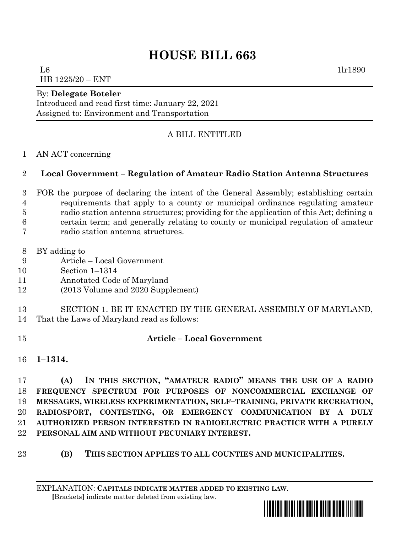# **HOUSE BILL 663**

 $\mu$  1lr1890 HB 1225/20 – ENT

#### By: **Delegate Boteler**

Introduced and read first time: January 22, 2021 Assigned to: Environment and Transportation

# A BILL ENTITLED

### AN ACT concerning

## **Local Government – Regulation of Amateur Radio Station Antenna Structures**

- FOR the purpose of declaring the intent of the General Assembly; establishing certain requirements that apply to a county or municipal ordinance regulating amateur radio station antenna structures; providing for the application of this Act; defining a certain term; and generally relating to county or municipal regulation of amateur radio station antenna structures.
- BY adding to
- Article Local Government
- Section 1–1314
- Annotated Code of Maryland
- (2013 Volume and 2020 Supplement)
- SECTION 1. BE IT ENACTED BY THE GENERAL ASSEMBLY OF MARYLAND, That the Laws of Maryland read as follows:
- 

### **Article – Local Government**

**1–1314.**

 **(A) IN THIS SECTION, "AMATEUR RADIO" MEANS THE USE OF A [RADIO](https://en.wikipedia.org/wiki/Radio_frequency)  [FREQUENCY](https://en.wikipedia.org/wiki/Radio_frequency) [SPECTRUM](https://en.wikipedia.org/wiki/Radio_spectrum) FOR PURPOSES OF [NONCOMMERCIAL](https://en.wikipedia.org/wiki/Non-commercial) EXCHANGE OF MESSAGES, [WIRELESS](https://en.wikipedia.org/wiki/Wireless) EXPERIMENTATION, SELF–TRAINING, PRIVATE RECREATION, [RADIOSPORT](https://en.wikipedia.org/wiki/Radiosport), [CONTESTING](https://en.wikipedia.org/wiki/Contesting), OR EMERGENCY COMMUNICATION BY A DULY AUTHORIZED PERSON INTERESTED IN RADIOELECTRIC PRACTICE WITH A PURELY PERSONAL AIM AND WITHOUT [PECUNIARY](https://en.wiktionary.org/wiki/pecuniary) INTEREST.**

**(B) THIS SECTION APPLIES TO ALL COUNTIES AND MUNICIPALITIES.**

EXPLANATION: **CAPITALS INDICATE MATTER ADDED TO EXISTING LAW**.  **[**Brackets**]** indicate matter deleted from existing law.